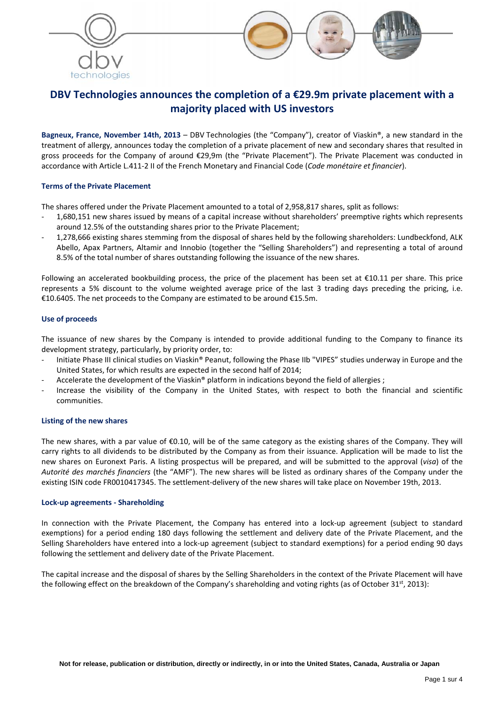



# **DBV Technologies announces the completion of a €29.9m private placement with a majority placed with US investors**

**Bagneux, France, November 14th, 2013** – DBV Technologies (the "Company"), creator of Viaskin®, a new standard in the treatment of allergy, announces today the completion of a private placement of new and secondary shares that resulted in gross proceeds for the Company of around €29,9m (the "Private Placement"). The Private Placement was conducted in accordance with Article L.411‐2 II of the French Monetary and Financial Code (*Code monétaire et financier*).

### **Terms of the Private Placement**

The shares offered under the Private Placement amounted to a total of 2,958,817 shares, split as follows:

- ‐ 1,680,151 new shares issued by means of a capital increase without shareholders' preemptive rights which represents around 12.5% of the outstanding shares prior to the Private Placement;
- ‐ 1,278,666 existing shares stemming from the disposal of shares held by the following shareholders: Lundbeckfond, ALK Abello, Apax Partners, Altamir and Innobio (together the "Selling Shareholders") and representing a total of around 8.5% of the total number of shares outstanding following the issuance of the new shares.

Following an accelerated bookbuilding process, the price of the placement has been set at  $£10.11$  per share. This price represents a 5% discount to the volume weighted average price of the last 3 trading days preceding the pricing, i.e. €10.6405. The net proceeds to the Company are estimated to be around €15.5m.

## **Use of proceeds**

The issuance of new shares by the Company is intended to provide additional funding to the Company to finance its development strategy, particularly, by priority order, to:

- Initiate Phase III clinical studies on Viaskin® Peanut, following the Phase IIb "VIPES" studies underway in Europe and the United States, for which results are expected in the second half of 2014;
- Accelerate the development of the Viaskin® platform in indications beyond the field of allergies ;
- Increase the visibility of the Company in the United States, with respect to both the financial and scientific communities.

#### **Listing of the new shares**

The new shares, with a par value of €0.10, will be of the same category as the existing shares of the Company. They will carry rights to all dividends to be distributed by the Company as from their issuance. Application will be made to list the new shares on Euronext Paris. A listing prospectus will be prepared, and will be submitted to the approval (*visa*) of the *Autorité des marchés financiers* (the "AMF"). The new shares will be listed as ordinary shares of the Company under the existing ISIN code FR0010417345. The settlement-delivery of the new shares will take place on November 19th, 2013.

#### **Lock‐up agreements ‐ Shareholding**

In connection with the Private Placement, the Company has entered into a lock-up agreement (subject to standard exemptions) for a period ending 180 days following the settlement and delivery date of the Private Placement, and the Selling Shareholders have entered into a lock‐up agreement (subject to standard exemptions) for a period ending 90 days following the settlement and delivery date of the Private Placement.

The capital increase and the disposal of shares by the Selling Shareholders in the context of the Private Placement will have the following effect on the breakdown of the Company's shareholding and voting rights (as of October 31st, 2013):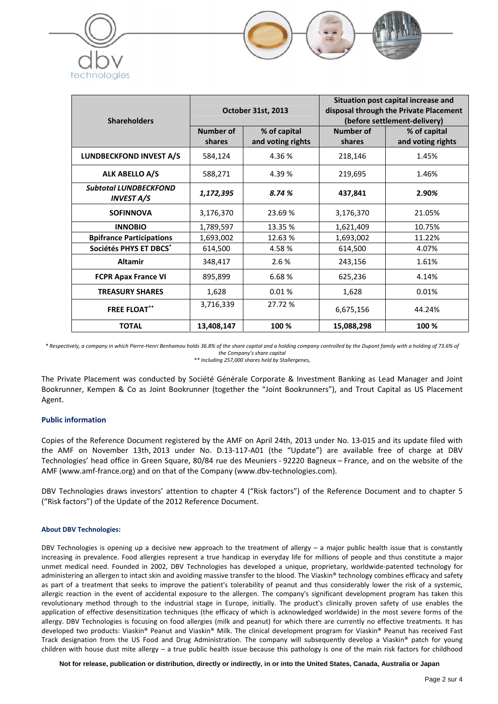

| <b>Shareholders</b>                               | <b>October 31st, 2013</b> |                                   | Situation post capital increase and<br>disposal through the Private Placement<br>(before settlement-delivery) |                                   |
|---------------------------------------------------|---------------------------|-----------------------------------|---------------------------------------------------------------------------------------------------------------|-----------------------------------|
|                                                   | Number of<br>shares       | % of capital<br>and voting rights | <b>Number of</b><br>shares                                                                                    | % of capital<br>and voting rights |
| <b>LUNDBECKFOND INVEST A/S</b>                    | 584,124                   | 4.36 %                            | 218,146                                                                                                       | 1.45%                             |
| ALK ABELLO A/S                                    | 588,271                   | 4.39 %                            | 219,695                                                                                                       | 1.46%                             |
| <b>Subtotal LUNDBECKFOND</b><br><b>INVEST A/S</b> | 1,172,395                 | 8.74 %                            | 437,841                                                                                                       | 2.90%                             |
| <b>SOFINNOVA</b>                                  | 3,176,370                 | 23.69 %                           | 3,176,370                                                                                                     | 21.05%                            |
| <b>INNOBIO</b>                                    | 1,789,597                 | 13.35 %                           | 1,621,409                                                                                                     | 10.75%                            |
| <b>Bpifrance Participations</b>                   | 1,693,002                 | 12.63%                            | 1,693,002                                                                                                     | 11.22%                            |
| Sociétés PHYS ET DBCS*                            | 614,500                   | 4.58%                             | 614,500                                                                                                       | 4.07%                             |
| <b>Altamir</b>                                    | 348,417                   | 2.6%                              | 243,156                                                                                                       | 1.61%                             |
| <b>FCPR Apax France VI</b>                        | 895,899                   | 6.68%                             | 625,236                                                                                                       | 4.14%                             |
| <b>TREASURY SHARES</b>                            | 1,628                     | 0.01%                             | 1,628                                                                                                         | 0.01%                             |
| <b>FREE FLOAT**</b>                               | 3,716,339                 | 27.72 %                           | 6,675,156                                                                                                     | 44.24%                            |
| <b>TOTAL</b>                                      | 13,408,147                | 100 %                             | 15,088,298                                                                                                    | 100 %                             |

 $\overline{\phantom{a}}$ 

\* Respectively, a company in which Pierre-Henri Benhamou holds 36.8% of the share capital and a holding company controlled by the Dupont family with a holding of 73.6% of *the Company's share capital*

*\*\* Including 257,000 shares held by Stallergenes,*

The Private Placement was conducted by Société Générale Corporate & Investment Banking as Lead Manager and Joint Bookrunner, Kempen & Co as Joint Bookrunner (together the "Joint Bookrunners"), and Trout Capital as US Placement Agent.

#### **Public information**

Copies of the Reference Document registered by the AMF on April 24th, 2013 under No. 13‐015 and its update filed with the AMF on November 13th, 2013 under No. D.13‐117‐A01 (the "Update") are available free of charge at DBV Technologies' head office in Green Square, 80/84 rue des Meuniers ‐ 92220 Bagneux – France, and on the website of the AMF (www.amf‐france.org) and on that of the Company (www.dbv‐technologies.com).

DBV Technologies draws investors' attention to chapter 4 ("Risk factors") of the Reference Document and to chapter 5 ("Risk factors") of the Update of the 2012 Reference Document.

#### **About DBV Technologies:**

DBV Technologies is opening up a decisive new approach to the treatment of allergy – a major public health issue that is constantly increasing in prevalence. Food allergies represent a true handicap in everyday life for millions of people and thus constitute a major unmet medical need. Founded in 2002, DBV Technologies has developed a unique, proprietary, worldwide‐patented technology for administering an allergen to intact skin and avoiding massive transfer to the blood. The Viaskin® technology combines efficacy and safety as part of a treatment that seeks to improve the patient's tolerability of peanut and thus considerably lower the risk of a systemic, allergic reaction in the event of accidental exposure to the allergen. The company's significant development program has taken this revolutionary method through to the industrial stage in Europe, initially. The product's clinically proven safety of use enables the application of effective desensitization techniques (the efficacy of which is acknowledged worldwide) in the most severe forms of the allergy. DBV Technologies is focusing on food allergies (milk and peanut) for which there are currently no effective treatments. It has developed two products: Viaskin® Peanut and Viaskin® Milk. The clinical development program for Viaskin® Peanut has received Fast Track designation from the US Food and Drug Administration. The company will subsequently develop a Viaskin® patch for young children with house dust mite allergy – a true public health issue because this pathology is one of the main risk factors for childhood

**Not for release, publication or distribution, directly or indirectly, in or into the United States, Canada, Australia or Japan**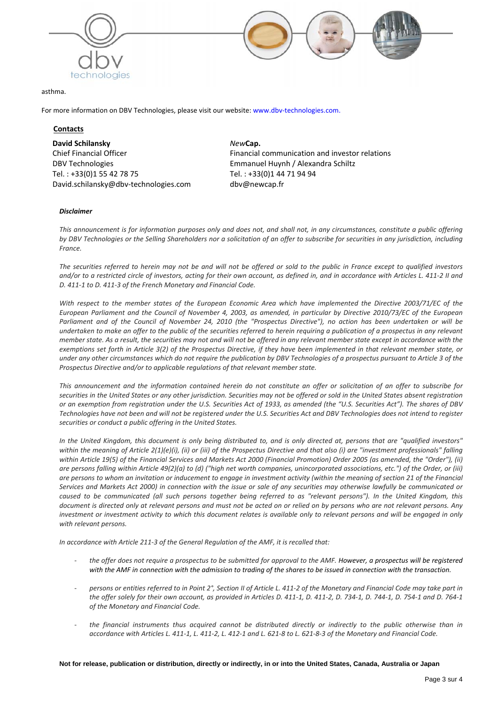

#### asthma.

For more information on DBV Technologies, please visit our website: www.dbv-technologies.com.

#### **Contacts**

**David Schilansky** Chief Financial Officer DBV Technologies Tel. : +33(0)1 55 42 78 75 David.schilansky@dbv‐technologies.com

*New***Cap.** Financial communication and investor relations Emmanuel Huynh / Alexandra Schiltz Tel. : +33(0)1 44 71 94 94 dbv@newcap.fr

#### *Disclaimer*

This announcement is for information purposes only and does not, and shall not, in any circumstances, constitute a public offering by DBV Technologies or the Selling Shareholders nor a solicitation of an offer to subscribe for securities in any jurisdiction, including  $France.$ 

The securities referred to herein may not be and will not be offered or sold to the public in France except to qualified investors and/or to a restricted circle of investors, acting for their own account, as defined in, and in accordance with Articles L. 411-2 II and *D. 411‐1 to D. 411‐3 of the French Monetary and Financial Code.*

With respect to the member states of the European Economic Area which have implemented the Directive 2003/71/EC of the European Parliament and the Council of November 4, 2003, as amended, in particular by Directive 2010/73/EC of the European Parliament and of the Council of November 24, 2010 (the "Prospectus Directive"), no action has been undertaken or will be undertaken to make an offer to the public of the securities referred to herein requiring a publication of a prospectus in any relevant member state. As a result, the securities may not and will not be offered in any relevant member state except in accordance with the exemptions set forth in Article 3(2) of the Prospectus Directive, if they have been implemented in that relevant member state, or under any other circumstances which do not require the publication by DBV Technologies of a prospectus pursuant to Article 3 of the *Prospectus Directive and/or to applicable regulations of that relevant member state.*

This announcement and the information contained herein do not constitute an offer or solicitation of an offer to subscribe for securities in the United States or any other jurisdiction. Securities may not be offered or sold in the United States absent registration or an exemption from registration under the U.S. Securities Act of 1933, as amended (the "U.S. Securities Act"). The shares of DBV Technologies have not been and will not be registered under the U.S. Securities Act and DBV Technologies does not intend to register *securities or conduct a public offering in the United States.*

In the United Kingdom, this document is only being distributed to, and is only directed at, persons that are "qualified investors" within the meaning of Article  $2(1)(e)(i)$ , (ii) or (iii) of the Prospectus Directive and that also (i) are "investment professionals" falling within Article 19(5) of the Financial Services and Markets Act 2000 (Financial Promotion) Order 2005 (as amended, the "Order"), (ii) are persons falling within Article 49(2)(a) to (d) ("high net worth companies, unincorporated associations, etc.") of the Order, or (iii) are persons to whom an invitation or inducement to engage in investment activity (within the meaning of section 21 of the Financial Services and Markets Act 2000) in connection with the issue or sale of any securities may otherwise lawfully be communicated or caused to be communicated (all such persons together being referred to as "relevant persons"). In the United Kingdom, this document is directed only at relevant persons and must not be acted on or relied on by persons who are not relevant persons. Any investment or investment activity to which this document relates is available only to relevant persons and will be engaged in only *with relevant persons.*

In accordance with Article 211-3 of the General Regulation of the AMF, it is recalled that:

- the offer does not require a prospectus to be submitted for approval to the AMF. However, a prospectus will be registered with the AMF in connection with the admission to trading of the shares to be issued in connection with the transaction.
- persons or entities referred to in Point 2°, Section II of Article L. 411-2 of the Monetary and Financial Code may take part in the offer solely for their own account, as provided in Articles D. 411-1, D. 411-2, D. 734-1, D. 744-1, D. 754-1 and D. 764-1 *of the Monetary and Financial Code.*
- the financial instruments thus acquired cannot be distributed directly or indirectly to the public otherwise than in accordance with Articles L. 411-1, L. 411-2, L. 412-1 and L. 621-8 to L. 621-8-3 of the Monetary and Financial Code.